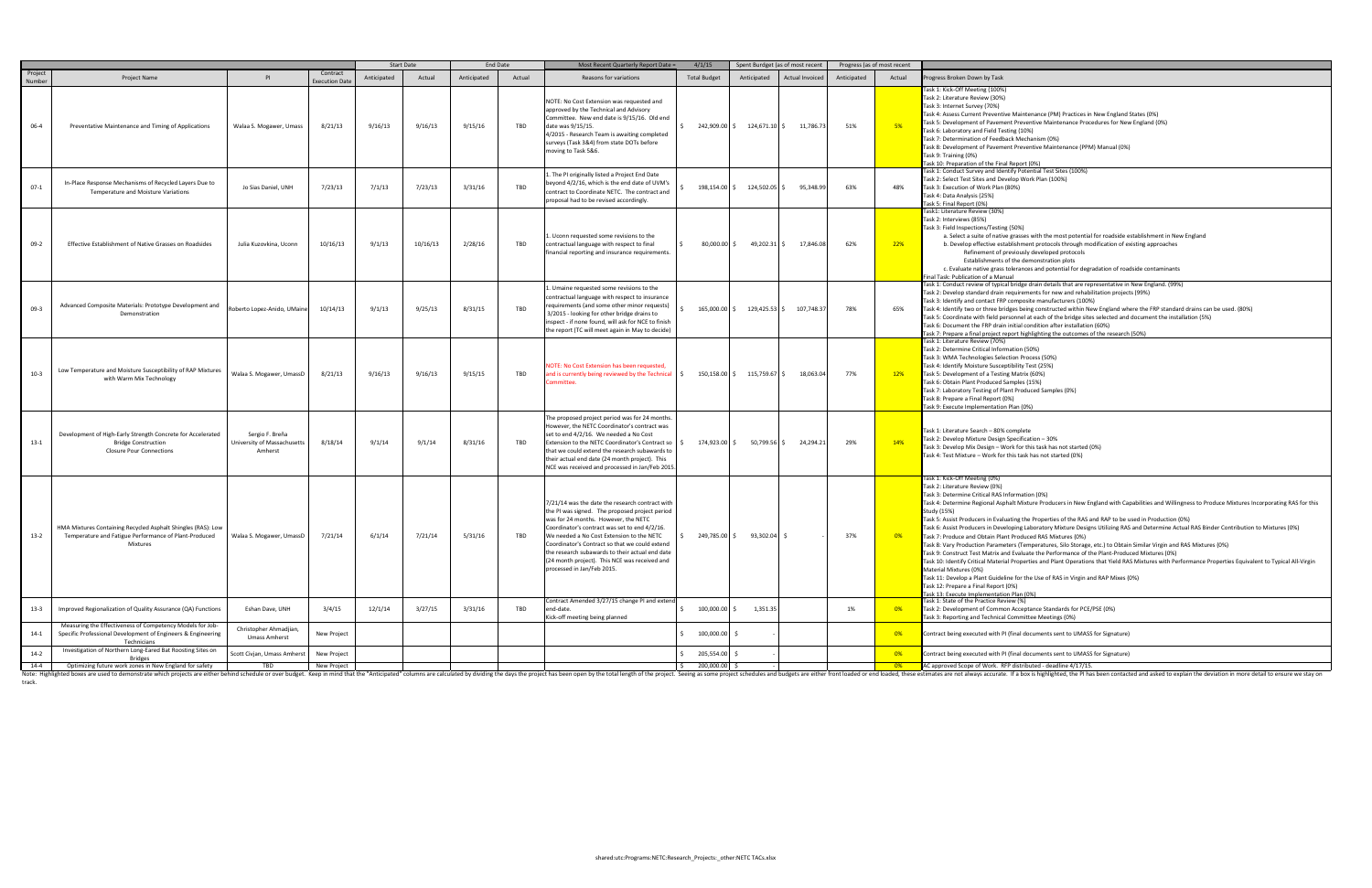halt Mixture Producers in New England with Capabilities and Willingness to Produce Mixtures Incorporating RAS for this

I Properties and Plant Operations that Yield RAS Mixtures with Performance Properties Equivalent to Typical All-Virgin

14-4 Optimizing future work zones in New England for safety TBD New Project New Project New Project New Project New Project New Project New Project New Project New Project New Project New Project New Project New Project Ne track.

|                   |                                                                                                                                        |                                                           |                            |             | Start Date |             | <b>End Date</b> | Most Recent Quarterly Report Date =                                                                                                                                                                                                                                                                                                                                                                                        | 4/1/15                   | Spent Burdget (as of most recent             |             | Progress (as of most recent |                                                                                                                                                                                                                                                                                                                                                                                                                                                                                                                                                                                                                                                                                                                                                                                                                                                                                                                                                                                                                                                                                                                                                                                               |
|-------------------|----------------------------------------------------------------------------------------------------------------------------------------|-----------------------------------------------------------|----------------------------|-------------|------------|-------------|-----------------|----------------------------------------------------------------------------------------------------------------------------------------------------------------------------------------------------------------------------------------------------------------------------------------------------------------------------------------------------------------------------------------------------------------------------|--------------------------|----------------------------------------------|-------------|-----------------------------|-----------------------------------------------------------------------------------------------------------------------------------------------------------------------------------------------------------------------------------------------------------------------------------------------------------------------------------------------------------------------------------------------------------------------------------------------------------------------------------------------------------------------------------------------------------------------------------------------------------------------------------------------------------------------------------------------------------------------------------------------------------------------------------------------------------------------------------------------------------------------------------------------------------------------------------------------------------------------------------------------------------------------------------------------------------------------------------------------------------------------------------------------------------------------------------------------|
| Project<br>Number | <b>Project Name</b>                                                                                                                    | PI                                                        | Contract<br>xecution Date  | Anticipated | Actual     | Anticipated | Actual          | Reasons for variations                                                                                                                                                                                                                                                                                                                                                                                                     | <b>Total Budget</b>      | Anticipated<br>Actual Invoiced               | Anticipated | Actual                      | Progress Broken Down by Task                                                                                                                                                                                                                                                                                                                                                                                                                                                                                                                                                                                                                                                                                                                                                                                                                                                                                                                                                                                                                                                                                                                                                                  |
| 06-4              | Preventative Maintenance and Timing of Applications                                                                                    | Walaa S. Mogawer, Umass                                   | 8/21/13                    | 9/16/13     | 9/16/13    | 9/15/16     | TBD             | NOTE: No Cost Extension was requested and<br>approved by the Technical and Advisory<br>Committee. New end date is 9/15/16. Old end<br>date was 9/15/15.<br>4/2015 - Research Team is awaiting completed<br>surveys (Task 3&4) from state DOTs before<br>noving to Task 5&6.                                                                                                                                                |                          | 242,909.00 \$ 124,671.10 \$<br>11,786.7      | 51%         | 5%                          | ask 1: Kick-Off Meeting (100%)<br>Fask 2: Literature Review (30%)<br>Task 3: Internet Survey (70%)<br>Task 4: Assess Current Preventive Maintenance (PM) Practices in New England States (0%)<br>Task 5: Development of Pavement Preventive Maintenance Procedures for New England (0%)<br>Task 6: Laboratory and Field Testing (10%)<br>Task 7: Determination of Feedback Mechanism (0%)<br>Task 8: Development of Pavement Preventive Maintenance (PPM) Manual (0%)<br>Task 9: Training (0%)<br>Task 10: Preparation of the Final Report (0%)                                                                                                                                                                                                                                                                                                                                                                                                                                                                                                                                                                                                                                               |
| $07-1$            | In-Place Response Mechanisms of Recycled Layers Due to<br>Temperature and Moisture Variations                                          | Jo Sias Daniel, UNH                                       | 7/23/13                    | 7/1/13      | 7/23/13    | 3/31/16     | TBD             | . The PI originally listed a Project End Date<br>beyond 4/2/16, which is the end date of UVM's<br>contract to Coordinate NETC. The contract and<br>proposal had to be revised accordingly.                                                                                                                                                                                                                                 |                          | 198,154.00 \$ 124,502.05 \$<br>95,348.9      | 63%         | 48%                         | Task 1: Conduct Survey and Identify Potential Test Sites (100%)<br>Task 2: Select Test Sites and Develop Work Plan (100%)<br>Task 3: Execution of Work Plan (80%)<br>Task 4: Data Analysis (25%)<br>Task 5: Final Report (0%)                                                                                                                                                                                                                                                                                                                                                                                                                                                                                                                                                                                                                                                                                                                                                                                                                                                                                                                                                                 |
| $09-2$            | Effective Establishment of Native Grasses on Roadsides                                                                                 | Julia Kuzovkina, Uconn                                    | 10/16/13                   | 9/1/13      | 10/16/13   | 2/28/16     | TBD             | Uconn requested some revisions to the<br>contractual language with respect to final<br>financial reporting and insurance requirements.                                                                                                                                                                                                                                                                                     |                          | $80,000.00 \div 49,202.31 \div$<br>17,846.08 | 62%         | 22%                         | 'ask1: Literature Review (30%)<br>Task 2: Interviews (85%)<br>Task 3: Field Inspections/Testing (50%)<br>a. Select a suite of native grasses with the most potential for roadside establishment in New England<br>b. Develop effective establishment protocols through modification of existing approaches<br>Refinement of previously developed protocols<br>Establishments of the demonstration plots<br>c. Evaluate native grass tolerances and potential for degradation of roadside contaminants<br>inal Task: Publication of a Manual                                                                                                                                                                                                                                                                                                                                                                                                                                                                                                                                                                                                                                                   |
| $09-3$            | Advanced Composite Materials: Prototype Development and<br>Demonstration                                                               | Roberto Lopez-Anido, UMaine                               | 10/14/13                   | 9/1/13      | 9/25/13    | 8/31/15     | TBD             | Umaine requested some revisions to the<br>contractual language with respect to insurance<br>requirements (and some other minor requests)<br>3/2015 - looking for other bridge drains to<br>nspect - if none found, will ask for NCE to finish<br>he report (TC will meet again in May to decide)                                                                                                                           |                          | 165,000.00 \$ 129,425.53 \$ 107,748.3        | 78%         | 65%                         | Task 1: Conduct review of typical bridge drain details that are representative in New England. (99%)<br>Task 2: Develop standard drain requirements for new and rehabilitation projects (99%)<br>Task 3: Identify and contact FRP composite manufacturers (100%)<br>Task 4: Identify two or three bridges being constructed within New England where the FRP standard drains can be used. (80%)<br>Task 5: Coordinate with field personnel at each of the bridge sites selected and document the installation (5%)<br>Task 6: Document the FRP drain initial condition after installation (60%)<br>Task 7: Prepare a final project report highlighting the outcomes of the research (50%)                                                                                                                                                                                                                                                                                                                                                                                                                                                                                                     |
| $10-3$            | Low Temperature and Moisture Susceptibility of RAP Mixtures<br>with Warm Mix Technology                                                | Walaa S. Mogawer, UmassD                                  | 8/21/13                    | 9/16/13     | 9/16/13    | 9/15/15     | TBD             | OTE: No Cost Extension has been requested,<br>ind is currently being reviewed by the Technical<br>ommittee                                                                                                                                                                                                                                                                                                                 |                          | 150,158.00 \$ 115,759.67 \$<br>18,063.0      | 77%         | 12%                         | Fask 1: Literature Review (70%)<br>Task 2: Determine Critical Information (50%)<br>Task 3: WMA Technologies Selection Process (50%)<br>Task 4: Identify Moisture Susceptibility Test (25%)<br>Task 5: Development of a Testing Matrix (60%)<br>Task 6: Obtain Plant Produced Samples (15%)<br>Task 7: Laboratory Testing of Plant Produced Samples (0%)<br>Task 8: Prepare a Final Report (0%)<br>ask 9: Execute Implementation Plan (0%)                                                                                                                                                                                                                                                                                                                                                                                                                                                                                                                                                                                                                                                                                                                                                     |
| $13-1$            | Development of High-Early Strength Concrete for Accelerated<br><b>Bridge Construction</b><br><b>Closure Pour Connections</b>           | Sergio F. Breña<br>University of Massachusetts<br>Amherst | 8/18/14                    | 9/1/14      | 9/1/14     | 8/31/16     | TBD             | The proposed project period was for 24 months<br>However, the NETC Coordinator's contract was<br>set to end 4/2/16. We needed a No Cost<br>Extension to the NETC Coordinator's Contract so<br>hat we could extend the research subawards to<br>their actual end date (24 month project). This<br>NCE was received and processed in Jan/Feb 2015                                                                            |                          | 174,923.00 \$ 50,799.56 \$ 24,294.2          | 29%         | 14%                         | Fask 1: Literature Search - 80% complete<br>Task 2: Develop Mixture Design Specification - 30%<br>Task 3: Develop Mix Design – Work for this task has not started (0%)<br>Task 4: Test Mixture - Work for this task has not started (0%)                                                                                                                                                                                                                                                                                                                                                                                                                                                                                                                                                                                                                                                                                                                                                                                                                                                                                                                                                      |
| $13-2$            | HMA Mixtures Containing Recycled Asphalt Shingles (RAS): Low<br>Temperature and Fatigue Performance of Plant-Produced<br>Mixtures      | Walaa S. Mogawer, UmassD                                  | 7/21/14                    | 6/1/14      | 7/21/14    | 5/31/16     | TBD             | 7/21/14 was the date the research contract with<br>the PI was signed. The proposed project period<br>was for 24 months. However, the NETC<br>Coordinator's contract was set to end 4/2/16.<br>We needed a No Cost Extension to the NETC<br>Coordinator's Contract so that we could extend<br>the research subawards to their actual end date<br>24 month project). This NCE was received and<br>processed in Jan/Feb 2015. |                          | 249,785.00 \$ 93,302.04 \$                   | 37%         | 0%                          | Task 1: Kick-Off Meeting (0%)<br>Task 2: Literature Review (0%)<br>Task 3: Determine Critical RAS Information (0%)<br>Task 4: Determine Regional Asphalt Mixture Producers in New England with Capabilities and Willingness to Produce Mixtures Incorporating RAS<br>Study (15%)<br>Task 5: Assist Producers in Evaluating the Properties of the RAS and RAP to be used in Production (0%)<br>(0%) Fask 6: Assist Producers in Developing Laboratory Mixture Designs Utilizing RAS and Determine Actual RAS Binder Contribution to Mixtures<br>Task 7: Produce and Obtain Plant Produced RAS Mixtures (0%)<br>Task 8: Vary Production Parameters (Temperatures, Silo Storage, etc.) to Obtain Similar Virgin and RAS Mixtures (0%)<br>Task 9: Construct Test Matrix and Evaluate the Performance of the Plant-Produced Mixtures (0%)<br>ask 10: Identify Critical Material Properties and Plant Operations that Yield RAS Mixtures with Performance Properties Equivalent to Typical All<br>Material Mixtures (0%)<br>Task 11: Develop a Plant Guideline for the Use of RAS in Virgin and RAP Mixes (0%)<br>Task 12: Prepare a Final Report (0%)<br>Task 13: Execute Implementation Plan (0%) |
| $13-3$            | Improved Regionalization of Quality Assurance (QA) Functions<br>Measuring the Effectiveness of Competency Models for Job-              | Eshan Dave, UNH                                           | 3/4/15                     | 12/1/14     | 3/27/15    | 3/31/16     | TBD             | Contract Amended 3/27/15 change PI and extend<br>end-date.<br>(ick-off meeting being planned                                                                                                                                                                                                                                                                                                                               | 100,000.00 \$            | 1,351.35                                     | 1%          | 0%                          | Task 1: State of the Practice Review (%)<br>Task 2: Development of Common Acceptance Standards for PCE/PSE (0%)<br>Task 3: Reporting and Technical Committee Meetings (0%)                                                                                                                                                                                                                                                                                                                                                                                                                                                                                                                                                                                                                                                                                                                                                                                                                                                                                                                                                                                                                    |
| $14-1$            | Specific Professional Development of Engineers & Engineering<br>Technicians                                                            | Christopher Ahmadjian,<br><b>Umass Amherst</b>            | New Project                |             |            |             |                 |                                                                                                                                                                                                                                                                                                                                                                                                                            | 100,000.00 \$            |                                              |             | 0%                          | Contract being executed with PI (final documents sent to UMASS for Signature)                                                                                                                                                                                                                                                                                                                                                                                                                                                                                                                                                                                                                                                                                                                                                                                                                                                                                                                                                                                                                                                                                                                 |
| $14-2$<br>$14-4$  | Investigation of Northern Long-Eared Bat Roosting Sites on<br><b>Bridges</b><br>Optimizing future work zones in New England for safety | Scott Civjan, Umass Amhers<br>TBD                         | New Project<br>New Project |             |            |             |                 |                                                                                                                                                                                                                                                                                                                                                                                                                            | 205,554.00<br>200,000.00 |                                              |             | 0%<br>$-0\%$                | Contract being executed with PI (final documents sent to UMASS for Signature)<br>AC approved Scope of Work. RFP distributed - deadline 4/17/15.                                                                                                                                                                                                                                                                                                                                                                                                                                                                                                                                                                                                                                                                                                                                                                                                                                                                                                                                                                                                                                               |
|                   |                                                                                                                                        |                                                           |                            |             |            |             |                 |                                                                                                                                                                                                                                                                                                                                                                                                                            |                          |                                              |             |                             |                                                                                                                                                                                                                                                                                                                                                                                                                                                                                                                                                                                                                                                                                                                                                                                                                                                                                                                                                                                                                                                                                                                                                                                               |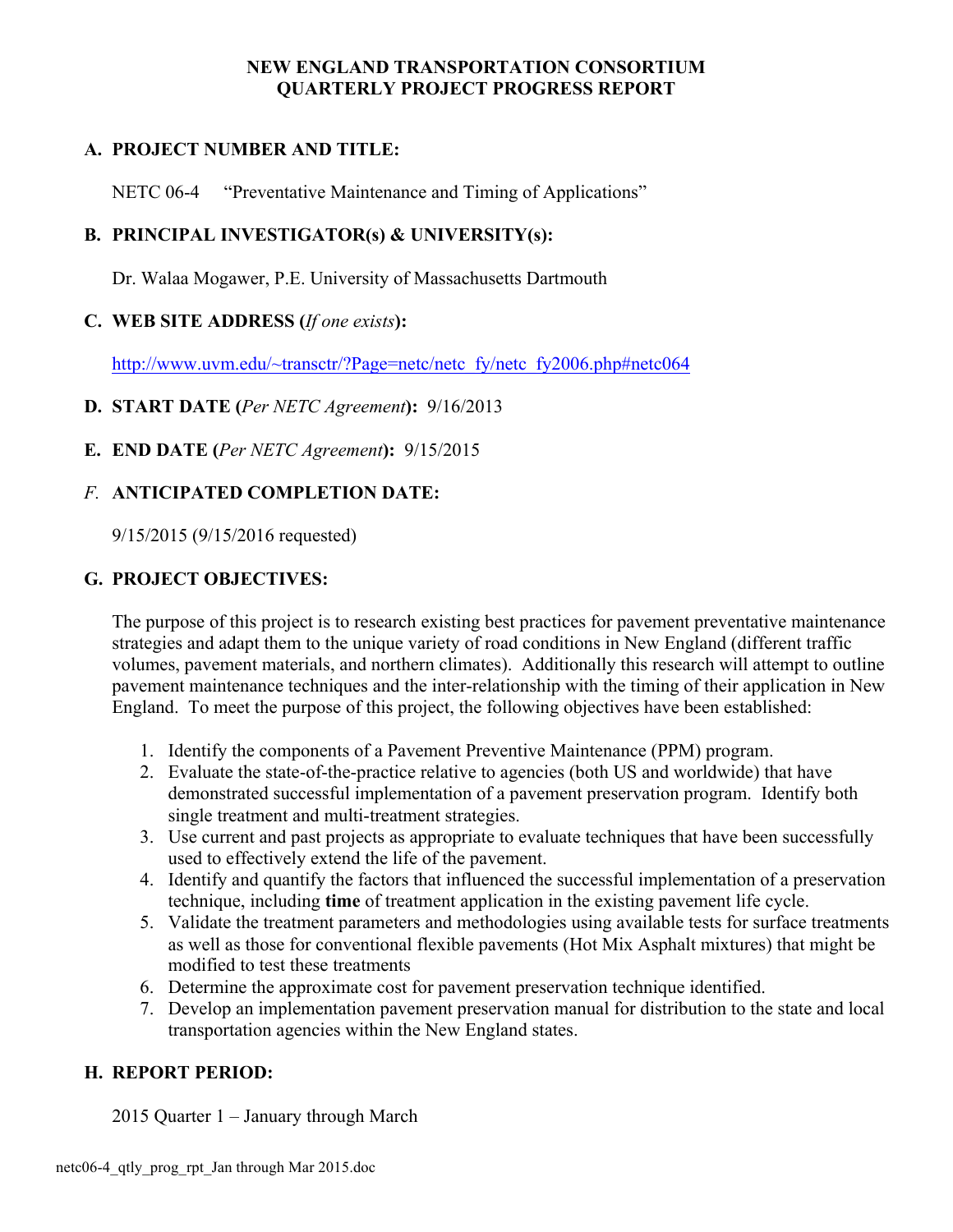# **A. PROJECT NUMBER AND TITLE:**

NETC 06-4 "Preventative Maintenance and Timing of Applications"

# **B. PRINCIPAL INVESTIGATOR(s) & UNIVERSITY(s):**

Dr. Walaa Mogawer, P.E. University of Massachusetts Dartmouth

# **C. WEB SITE ADDRESS (***If one exists***):**

http://www.uvm.edu/~transctr/?Page=netc/netc\_fy/netc\_fy2006.php#netc064

# **D. START DATE (***Per NETC Agreement***):** 9/16/2013

# **E. END DATE (***Per NETC Agreement***):** 9/15/2015

# *F.* **ANTICIPATED COMPLETION DATE:**

9/15/2015 (9/15/2016 requested)

# **G. PROJECT OBJECTIVES:**

The purpose of this project is to research existing best practices for pavement preventative maintenance strategies and adapt them to the unique variety of road conditions in New England (different traffic volumes, pavement materials, and northern climates). Additionally this research will attempt to outline pavement maintenance techniques and the inter-relationship with the timing of their application in New England. To meet the purpose of this project, the following objectives have been established:

- 1. Identify the components of a Pavement Preventive Maintenance (PPM) program.
- 2. Evaluate the state-of-the-practice relative to agencies (both US and worldwide) that have demonstrated successful implementation of a pavement preservation program. Identify both single treatment and multi-treatment strategies.
- 3. Use current and past projects as appropriate to evaluate techniques that have been successfully used to effectively extend the life of the pavement.
- 4. Identify and quantify the factors that influenced the successful implementation of a preservation technique, including **time** of treatment application in the existing pavement life cycle.
- 5. Validate the treatment parameters and methodologies using available tests for surface treatments as well as those for conventional flexible pavements (Hot Mix Asphalt mixtures) that might be modified to test these treatments
- 6. Determine the approximate cost for pavement preservation technique identified.
- 7. Develop an implementation pavement preservation manual for distribution to the state and local transportation agencies within the New England states.

# **H. REPORT PERIOD:**

2015 Quarter 1 – January through March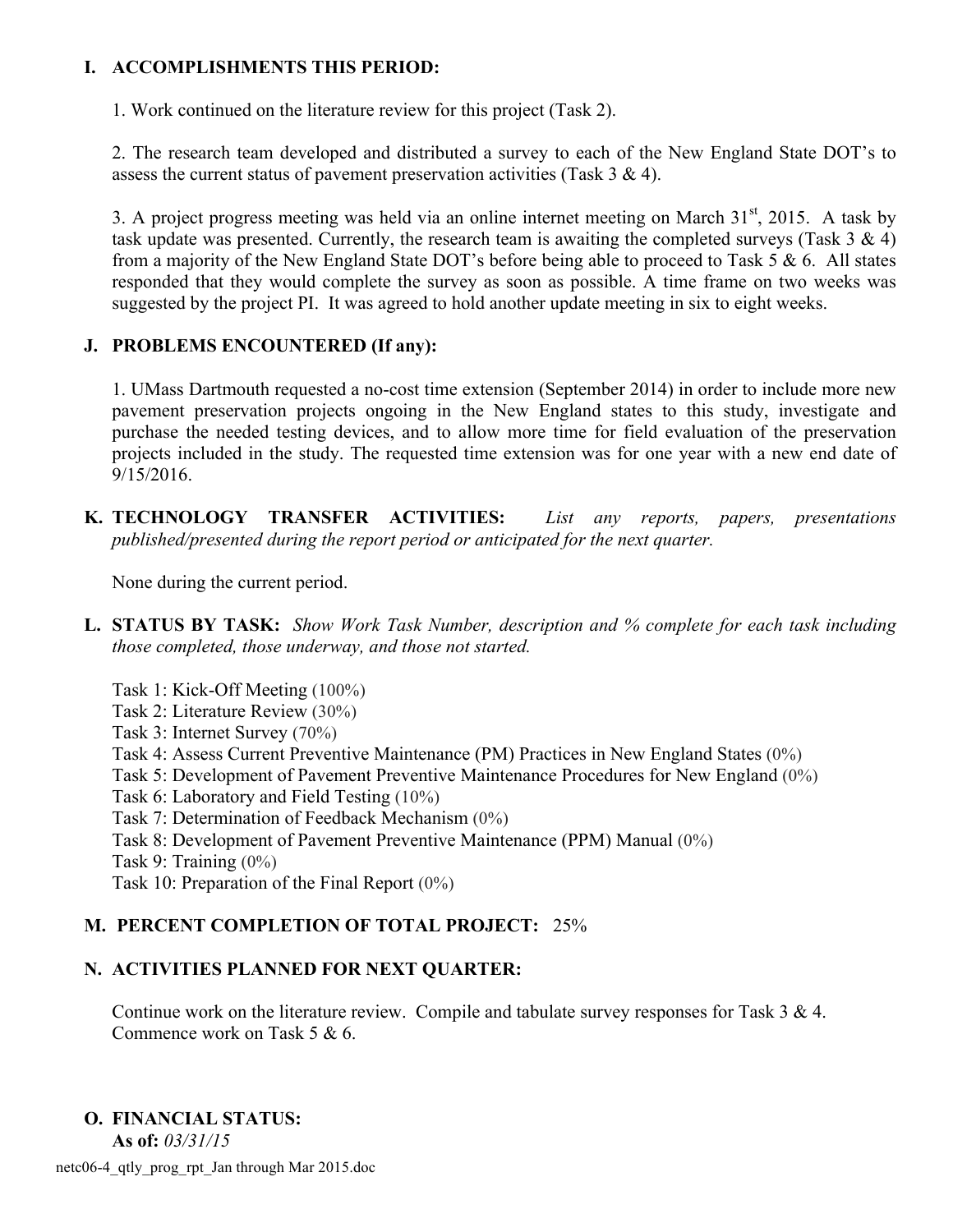# **I. ACCOMPLISHMENTS THIS PERIOD:**

1. Work continued on the literature review for this project (Task 2).

2. The research team developed and distributed a survey to each of the New England State DOT's to assess the current status of pavement preservation activities (Task  $3 \& 4$ ).

3. A project progress meeting was held via an online internet meeting on March  $31<sup>st</sup>$ , 2015. A task by task update was presented. Currently, the research team is awaiting the completed surveys (Task  $3 \& 4$ ) from a majority of the New England State DOT's before being able to proceed to Task 5 & 6. All states responded that they would complete the survey as soon as possible. A time frame on two weeks was suggested by the project PI. It was agreed to hold another update meeting in six to eight weeks.

# **J. PROBLEMS ENCOUNTERED (If any):**

1. UMass Dartmouth requested a no-cost time extension (September 2014) in order to include more new pavement preservation projects ongoing in the New England states to this study, investigate and purchase the needed testing devices, and to allow more time for field evaluation of the preservation projects included in the study. The requested time extension was for one year with a new end date of 9/15/2016.

**K. TECHNOLOGY TRANSFER ACTIVITIES:** *List any reports, papers, presentations published/presented during the report period or anticipated for the next quarter.*

None during the current period.

- **L. STATUS BY TASK:** *Show Work Task Number, description and % complete for each task including those completed, those underway, and those not started.*
	- Task 1: Kick-Off Meeting (100%)
	- Task 2: Literature Review (30%)
	- Task 3: Internet Survey (70%)
	- Task 4: Assess Current Preventive Maintenance (PM) Practices in New England States (0%)
	- Task 5: Development of Pavement Preventive Maintenance Procedures for New England (0%)
	- Task 6: Laboratory and Field Testing (10%)
	- Task 7: Determination of Feedback Mechanism (0%)
	- Task 8: Development of Pavement Preventive Maintenance (PPM) Manual (0%)
	- Task 9: Training (0%)

Task 10: Preparation of the Final Report (0%)

# **M. PERCENT COMPLETION OF TOTAL PROJECT:** 25%

# **N. ACTIVITIES PLANNED FOR NEXT QUARTER:**

Continue work on the literature review. Compile and tabulate survey responses for Task 3 & 4. Commence work on Task 5 & 6.

# **O. FINANCIAL STATUS:**

**As of:** *03/31/15*

netc06-4\_qtly\_prog\_rpt\_Jan through Mar 2015.doc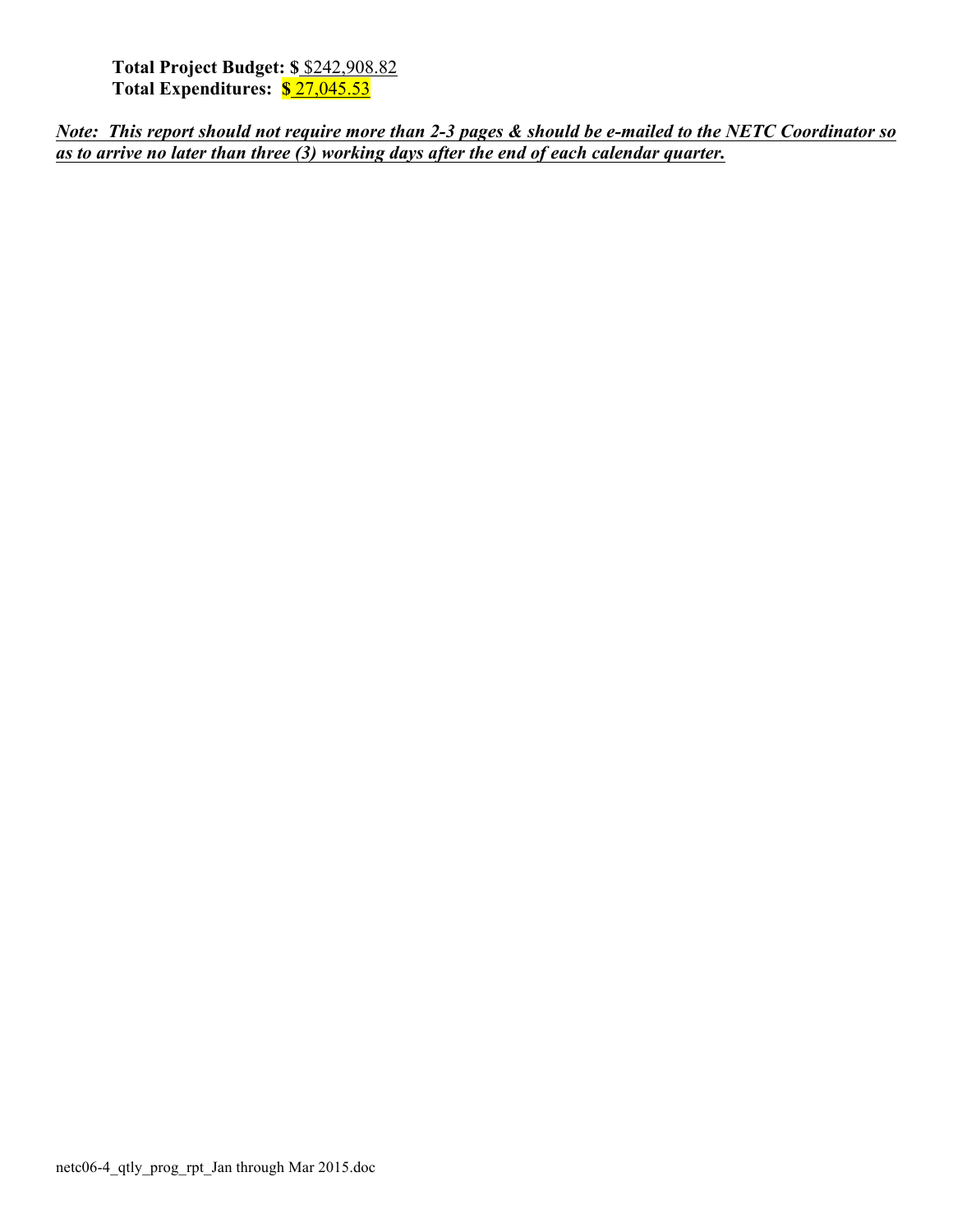**Total Project Budget: \$** \$242,908.82 **Total Expenditures: \$** 27,045.53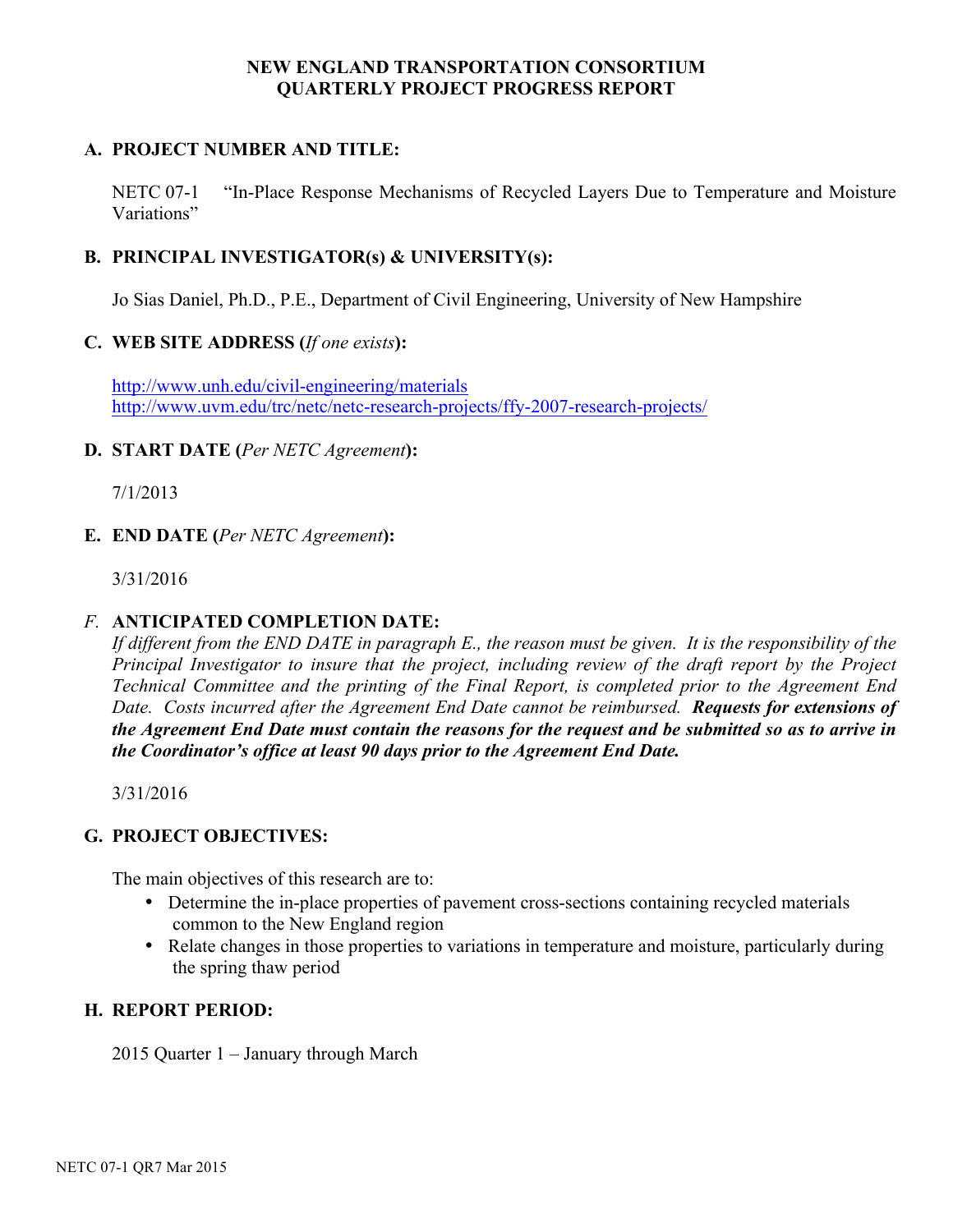# **A. PROJECT NUMBER AND TITLE:**

NETC 07-1 "In-Place Response Mechanisms of Recycled Layers Due to Temperature and Moisture Variations"

#### **B. PRINCIPAL INVESTIGATOR(s) & UNIVERSITY(s):**

Jo Sias Daniel, Ph.D., P.E., Department of Civil Engineering, University of New Hampshire

#### **C. WEB SITE ADDRESS (***If one exists***):**

http://www.unh.edu/civil-engineering/materials http://www.uvm.edu/trc/netc/netc-research-projects/ffy-2007-research-projects/

#### **D. START DATE (***Per NETC Agreement***):**

7/1/2013

#### **E. END DATE (***Per NETC Agreement***):**

3/31/2016

#### *F.* **ANTICIPATED COMPLETION DATE:**

*If different from the END DATE in paragraph E., the reason must be given. It is the responsibility of the Principal Investigator to insure that the project, including review of the draft report by the Project Technical Committee and the printing of the Final Report, is completed prior to the Agreement End Date. Costs incurred after the Agreement End Date cannot be reimbursed. Requests for extensions of the Agreement End Date must contain the reasons for the request and be submitted so as to arrive in the Coordinator's office at least 90 days prior to the Agreement End Date.*

3/31/2016

#### **G. PROJECT OBJECTIVES:**

The main objectives of this research are to:

- Determine the in-place properties of pavement cross-sections containing recycled materials common to the New England region
- Relate changes in those properties to variations in temperature and moisture, particularly during the spring thaw period

#### **H. REPORT PERIOD:**

2015 Quarter 1 – January through March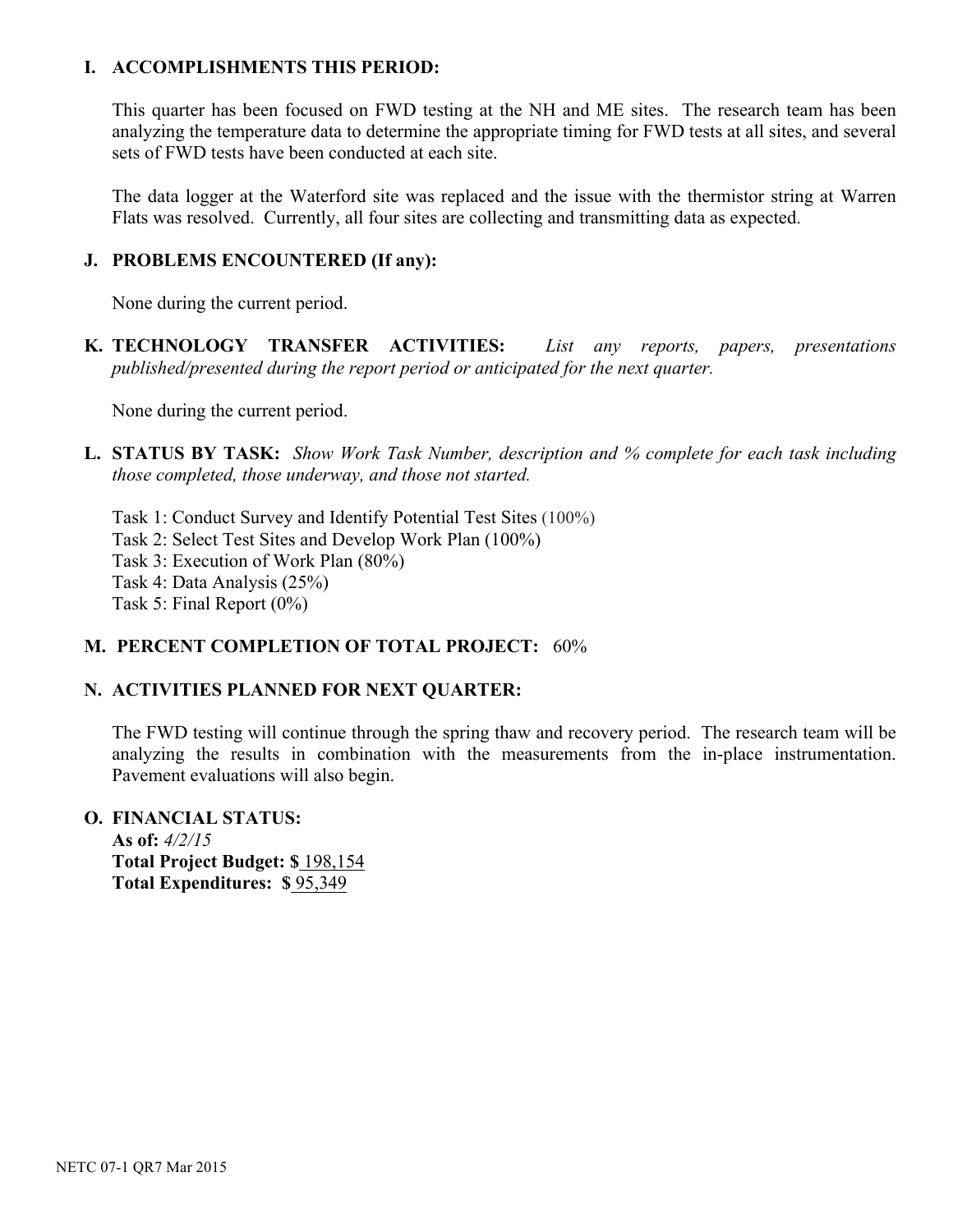#### **I. ACCOMPLISHMENTS THIS PERIOD:**

This quarter has been focused on FWD testing at the NH and ME sites. The research team has been analyzing the temperature data to determine the appropriate timing for FWD tests at all sites, and several sets of FWD tests have been conducted at each site.

The data logger at the Waterford site was replaced and the issue with the thermistor string at Warren Flats was resolved. Currently, all four sites are collecting and transmitting data as expected.

#### **J. PROBLEMS ENCOUNTERED (If any):**

None during the current period.

**K. TECHNOLOGY TRANSFER ACTIVITIES:** *List any reports, papers, presentations published/presented during the report period or anticipated for the next quarter.*

None during the current period.

**L. STATUS BY TASK:** *Show Work Task Number, description and % complete for each task including those completed, those underway, and those not started.*

Task 1: Conduct Survey and Identify Potential Test Sites (100%) Task 2: Select Test Sites and Develop Work Plan (100%) Task 3: Execution of Work Plan (80%) Task 4: Data Analysis (25%) Task 5: Final Report (0%)

# **M. PERCENT COMPLETION OF TOTAL PROJECT:** 60%

# **N. ACTIVITIES PLANNED FOR NEXT QUARTER:**

The FWD testing will continue through the spring thaw and recovery period. The research team will be analyzing the results in combination with the measurements from the in-place instrumentation. Pavement evaluations will also begin.

**O. FINANCIAL STATUS: As of:** *4/2/15* **Total Project Budget: \$** 198,154 **Total Expenditures: \$** 95,349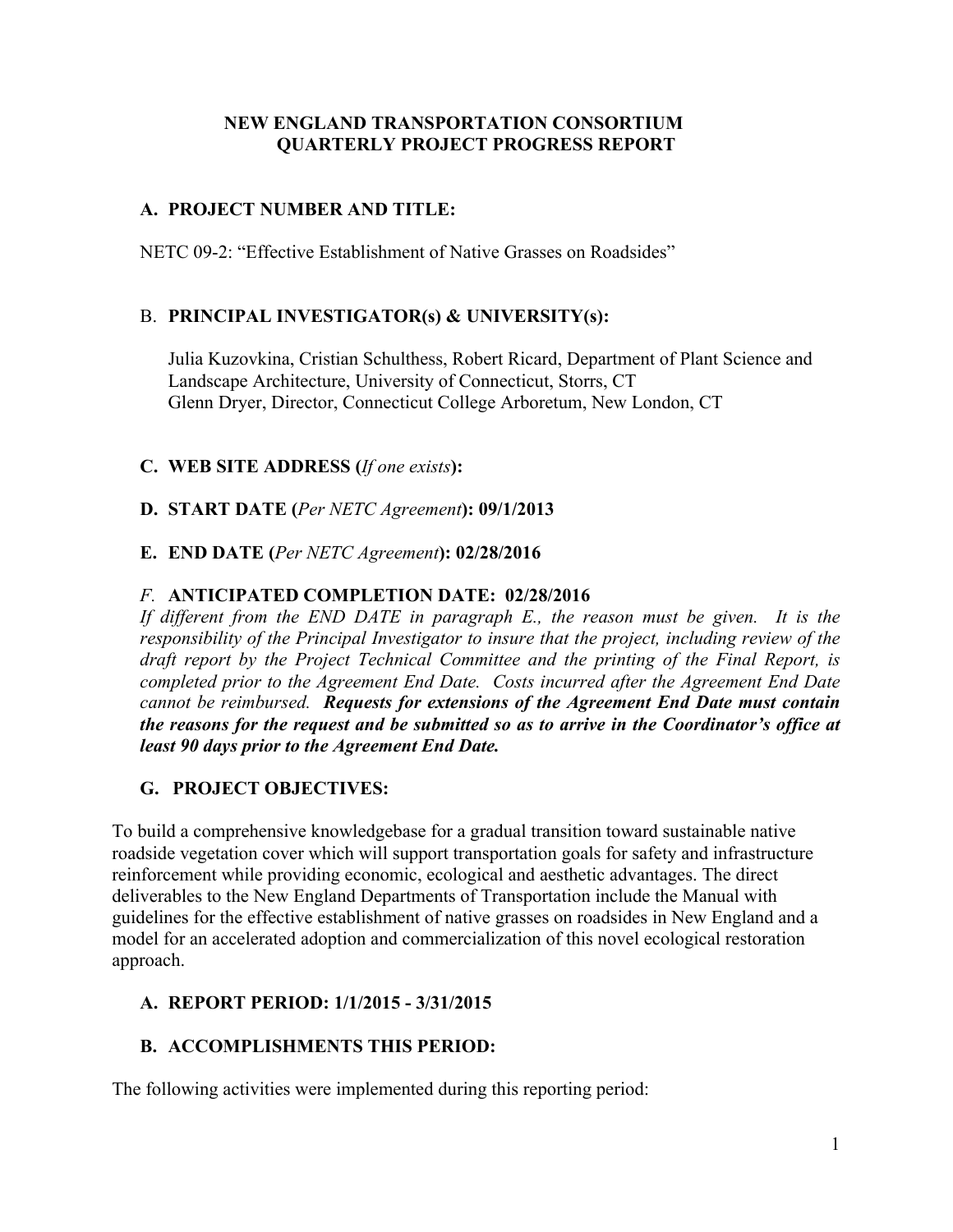# **A. PROJECT NUMBER AND TITLE:**

NETC 09-2: "Effective Establishment of Native Grasses on Roadsides"

# B. **PRINCIPAL INVESTIGATOR(s) & UNIVERSITY(s):**

Julia Kuzovkina, Cristian Schulthess, Robert Ricard, Department of Plant Science and Landscape Architecture, University of Connecticut, Storrs, CT Glenn Dryer, Director, Connecticut College Arboretum, New London, CT

# **C. WEB SITE ADDRESS (***If one exists***):**

**D. START DATE (***Per NETC Agreement***): 09/1/2013** 

# **E. END DATE (***Per NETC Agreement***): 02/28/2016**

# *F.* **ANTICIPATED COMPLETION DATE: 02/28/2016**

If different from the END DATE in paragraph E., the reason must be given. It is the *responsibility of the Principal Investigator to insure that the project, including review of the draft report by the Project Technical Committee and the printing of the Final Report, is completed prior to the Agreement End Date. Costs incurred after the Agreement End Date cannot be reimbursed. Requests for extensions of the Agreement End Date must contain the reasons for the request and be submitted so as to arrive in the Coordinator's office at least 90 days prior to the Agreement End Date.*

# **G. PROJECT OBJECTIVES:**

To build a comprehensive knowledgebase for a gradual transition toward sustainable native roadside vegetation cover which will support transportation goals for safety and infrastructure reinforcement while providing economic, ecological and aesthetic advantages. The direct deliverables to the New England Departments of Transportation include the Manual with guidelines for the effective establishment of native grasses on roadsides in New England and a model for an accelerated adoption and commercialization of this novel ecological restoration approach.

# **A. REPORT PERIOD: 1/1/2015 - 3/31/2015**

# **B. ACCOMPLISHMENTS THIS PERIOD:**

The following activities were implemented during this reporting period: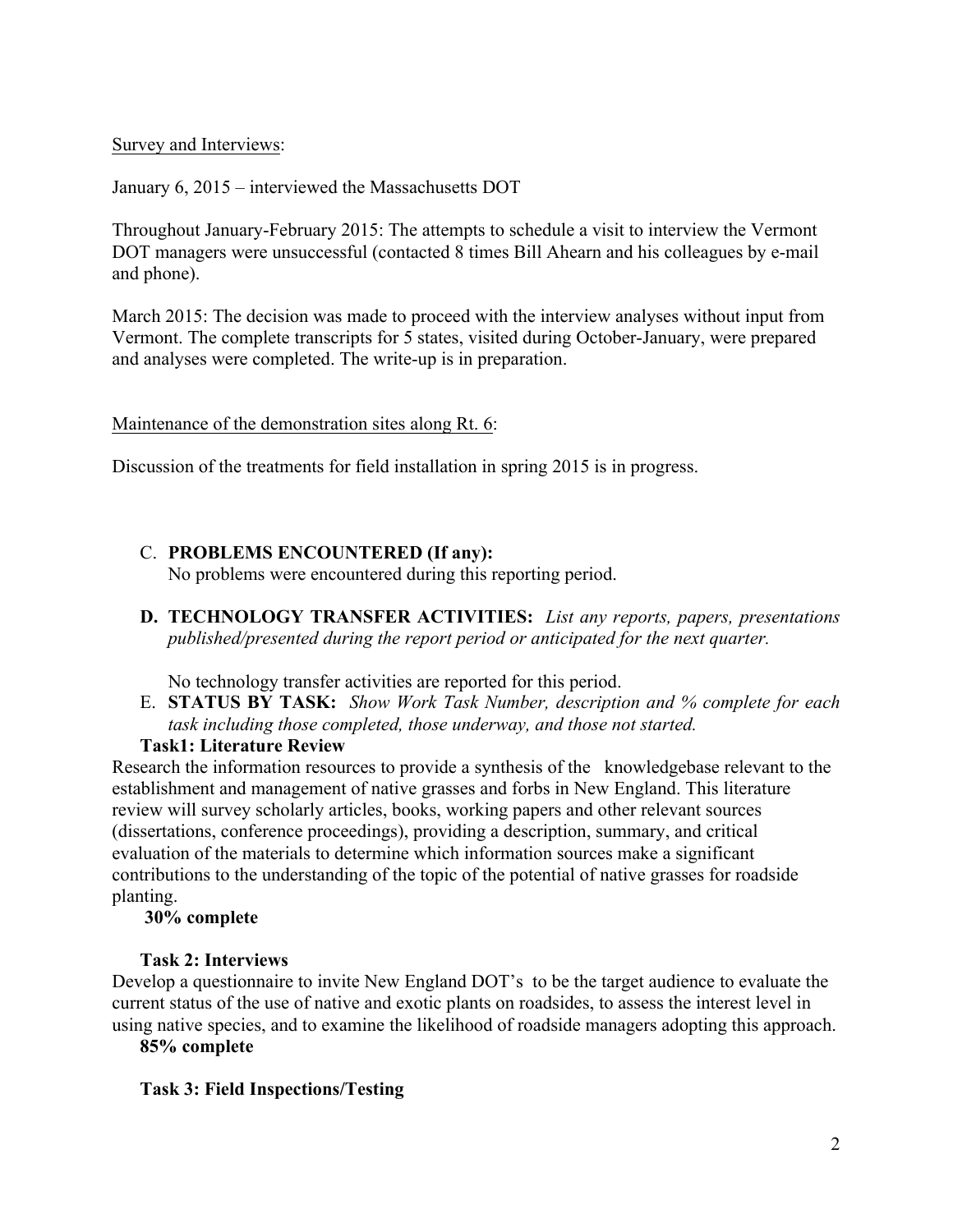#### Survey and Interviews:

January 6, 2015 – interviewed the Massachusetts DOT

Throughout January-February 2015: The attempts to schedule a visit to interview the Vermont DOT managers were unsuccessful (contacted 8 times Bill Ahearn and his colleagues by e-mail and phone).

March 2015: The decision was made to proceed with the interview analyses without input from Vermont. The complete transcripts for 5 states, visited during October-January, were prepared and analyses were completed. The write-up is in preparation.

#### Maintenance of the demonstration sites along Rt. 6:

Discussion of the treatments for field installation in spring 2015 is in progress.

# C. **PROBLEMS ENCOUNTERED (If any):**

No problems were encountered during this reporting period.

**D. TECHNOLOGY TRANSFER ACTIVITIES:** *List any reports, papers, presentations published/presented during the report period or anticipated for the next quarter.*

No technology transfer activities are reported for this period.

E. **STATUS BY TASK:** *Show Work Task Number, description and % complete for each task including those completed, those underway, and those not started.*

#### **Task1: Literature Review**

Research the information resources to provide a synthesis of the knowledgebase relevant to the establishment and management of native grasses and forbs in New England. This literature review will survey scholarly articles, books, working papers and other relevant sources (dissertations, conference proceedings), providing a description, summary, and critical evaluation of the materials to determine which information sources make a significant contributions to the understanding of the topic of the potential of native grasses for roadside planting.

#### **30% complete**

#### **Task 2: Interviews**

Develop a questionnaire to invite New England DOT's to be the target audience to evaluate the current status of the use of native and exotic plants on roadsides, to assess the interest level in using native species, and to examine the likelihood of roadside managers adopting this approach.

**85% complete**

#### **Task 3: Field Inspections/Testing**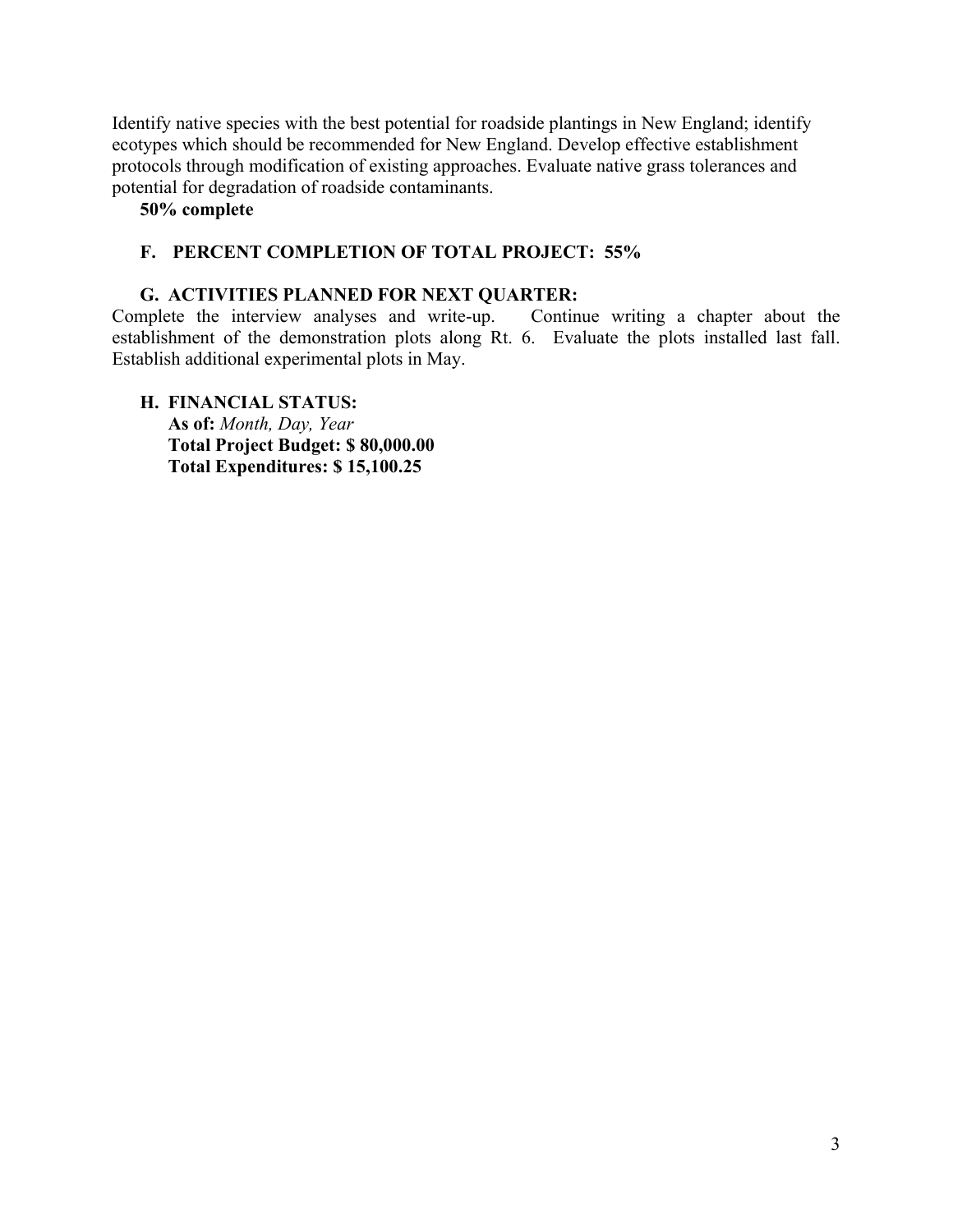Identify native species with the best potential for roadside plantings in New England; identify ecotypes which should be recommended for New England. Develop effective establishment protocols through modification of existing approaches. Evaluate native grass tolerances and potential for degradation of roadside contaminants.

**50% complete**

#### **F. PERCENT COMPLETION OF TOTAL PROJECT: 55%**

**G. ACTIVITIES PLANNED FOR NEXT QUARTER:** Complete the interview analyses and write-up. establishment of the demonstration plots along Rt. 6. Evaluate the plots installed last fall. Establish additional experimental plots in May.

**H. FINANCIAL STATUS: As of:** *Month, Day, Year* **Total Project Budget: \$ 80,000.00 Total Expenditures: \$ 15,100.25**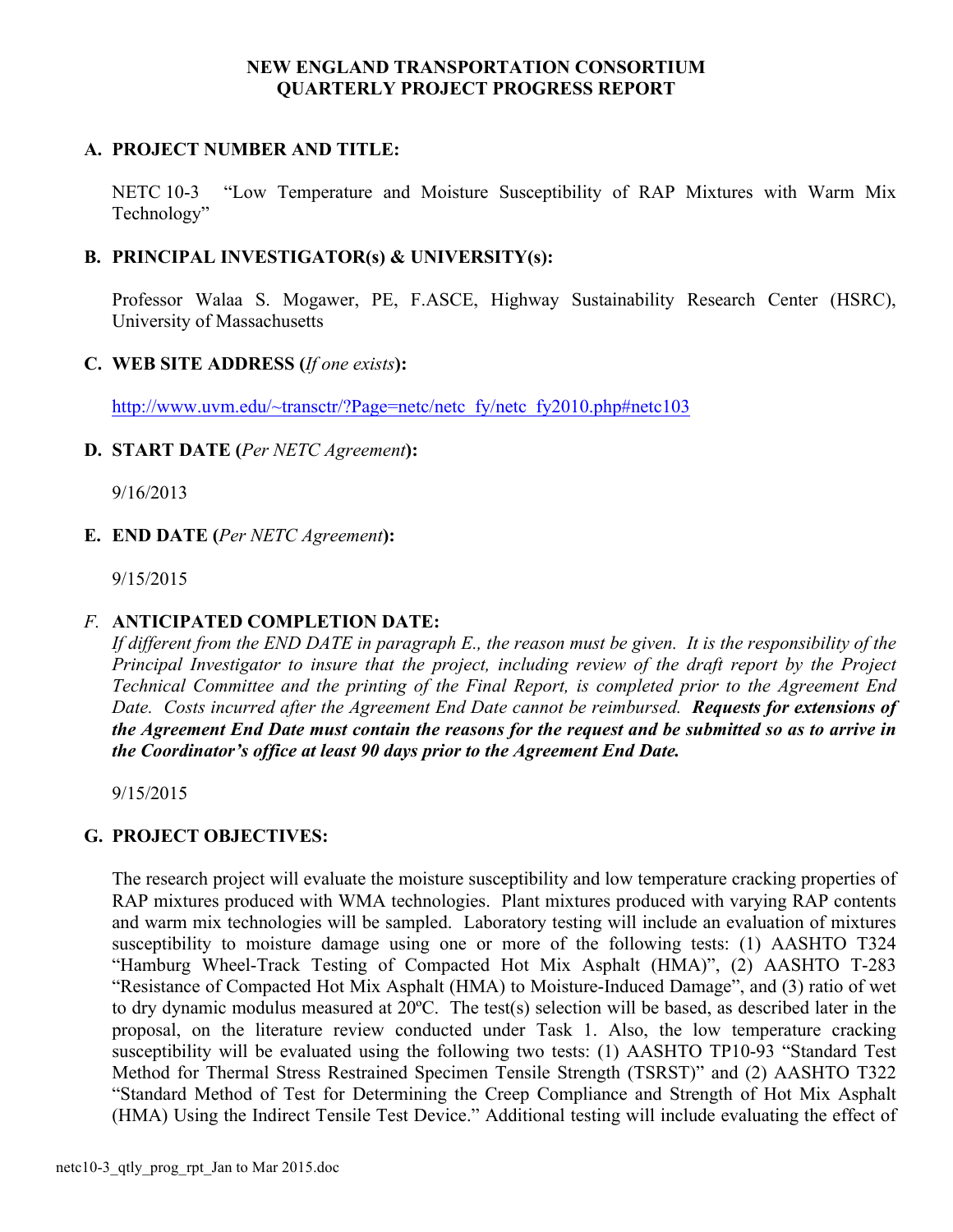#### **A. PROJECT NUMBER AND TITLE:**

NETC 10-3 "Low Temperature and Moisture Susceptibility of RAP Mixtures with Warm Mix Technology"

#### **B. PRINCIPAL INVESTIGATOR(s) & UNIVERSITY(s):**

Professor Walaa S. Mogawer, PE, F.ASCE, Highway Sustainability Research Center (HSRC), University of Massachusetts

#### **C. WEB SITE ADDRESS (***If one exists***):**

http://www.uvm.edu/~transctr/?Page=netc/netc\_fy/netc\_fy2010.php#netc103

#### **D. START DATE (***Per NETC Agreement***):**

9/16/2013

**E. END DATE (***Per NETC Agreement***):**

9/15/2015

#### *F.* **ANTICIPATED COMPLETION DATE:**

*If different from the END DATE in paragraph E., the reason must be given. It is the responsibility of the Principal Investigator to insure that the project, including review of the draft report by the Project Technical Committee and the printing of the Final Report, is completed prior to the Agreement End Date. Costs incurred after the Agreement End Date cannot be reimbursed. Requests for extensions of the Agreement End Date must contain the reasons for the request and be submitted so as to arrive in the Coordinator's office at least 90 days prior to the Agreement End Date.*

9/15/2015

# **G. PROJECT OBJECTIVES:**

The research project will evaluate the moisture susceptibility and low temperature cracking properties of RAP mixtures produced with WMA technologies. Plant mixtures produced with varying RAP contents and warm mix technologies will be sampled. Laboratory testing will include an evaluation of mixtures susceptibility to moisture damage using one or more of the following tests: (1) AASHTO T324 "Hamburg Wheel-Track Testing of Compacted Hot Mix Asphalt (HMA)", (2) AASHTO T-283 "Resistance of Compacted Hot Mix Asphalt (HMA) to Moisture-Induced Damage", and (3) ratio of wet to dry dynamic modulus measured at 20ºC. The test(s) selection will be based, as described later in the proposal, on the literature review conducted under Task 1. Also, the low temperature cracking susceptibility will be evaluated using the following two tests: (1) AASHTO TP10-93 "Standard Test Method for Thermal Stress Restrained Specimen Tensile Strength (TSRST)" and (2) AASHTO T322 "Standard Method of Test for Determining the Creep Compliance and Strength of Hot Mix Asphalt (HMA) Using the Indirect Tensile Test Device." Additional testing will include evaluating the effect of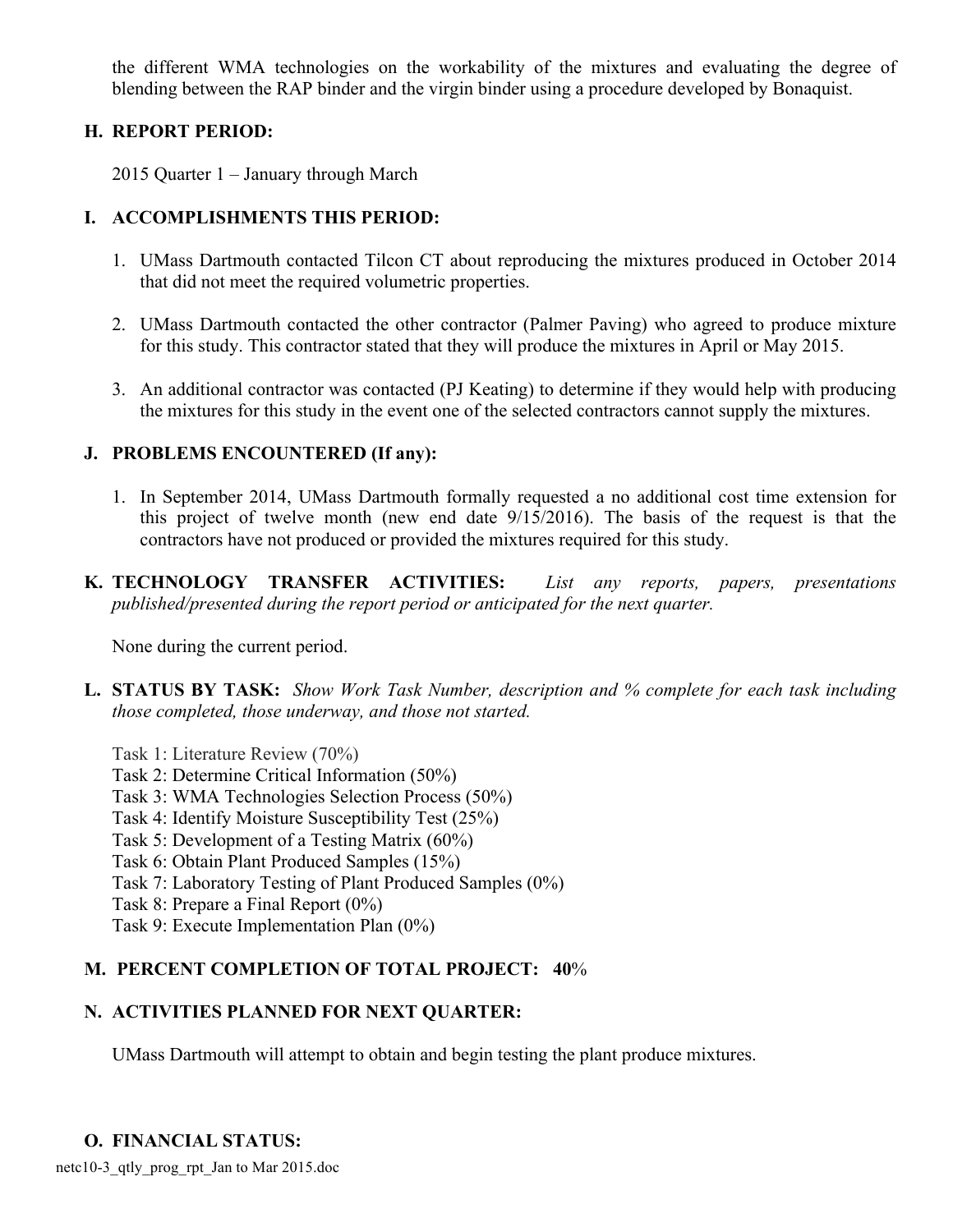the different WMA technologies on the workability of the mixtures and evaluating the degree of blending between the RAP binder and the virgin binder using a procedure developed by Bonaquist.

## **H. REPORT PERIOD:**

2015 Quarter 1 – January through March

# **I. ACCOMPLISHMENTS THIS PERIOD:**

- 1. UMass Dartmouth contacted Tilcon CT about reproducing the mixtures produced in October 2014 that did not meet the required volumetric properties.
- 2. UMass Dartmouth contacted the other contractor (Palmer Paving) who agreed to produce mixture for this study. This contractor stated that they will produce the mixtures in April or May 2015.
- 3. An additional contractor was contacted (PJ Keating) to determine if they would help with producing the mixtures for this study in the event one of the selected contractors cannot supply the mixtures.

# **J. PROBLEMS ENCOUNTERED (If any):**

- 1. In September 2014, UMass Dartmouth formally requested a no additional cost time extension for this project of twelve month (new end date 9/15/2016). The basis of the request is that the contractors have not produced or provided the mixtures required for this study.
- **K. TECHNOLOGY TRANSFER ACTIVITIES:** *List any reports, papers, presentations published/presented during the report period or anticipated for the next quarter.*

None during the current period.

- **L. STATUS BY TASK:** *Show Work Task Number, description and % complete for each task including those completed, those underway, and those not started.*
	- Task 1: Literature Review (70%)
	- Task 2: Determine Critical Information (50%)
	- Task 3: WMA Technologies Selection Process (50%)
	- Task 4: Identify Moisture Susceptibility Test (25%)
	- Task 5: Development of a Testing Matrix (60%)
	- Task 6: Obtain Plant Produced Samples (15%)
	- Task 7: Laboratory Testing of Plant Produced Samples (0%)
	- Task 8: Prepare a Final Report (0%)
	- Task 9: Execute Implementation Plan (0%)

# **M. PERCENT COMPLETION OF TOTAL PROJECT: 40**%

# **N. ACTIVITIES PLANNED FOR NEXT QUARTER:**

UMass Dartmouth will attempt to obtain and begin testing the plant produce mixtures.

# **O. FINANCIAL STATUS:**

netc10-3\_qtly\_prog\_rpt\_Jan to Mar 2015.doc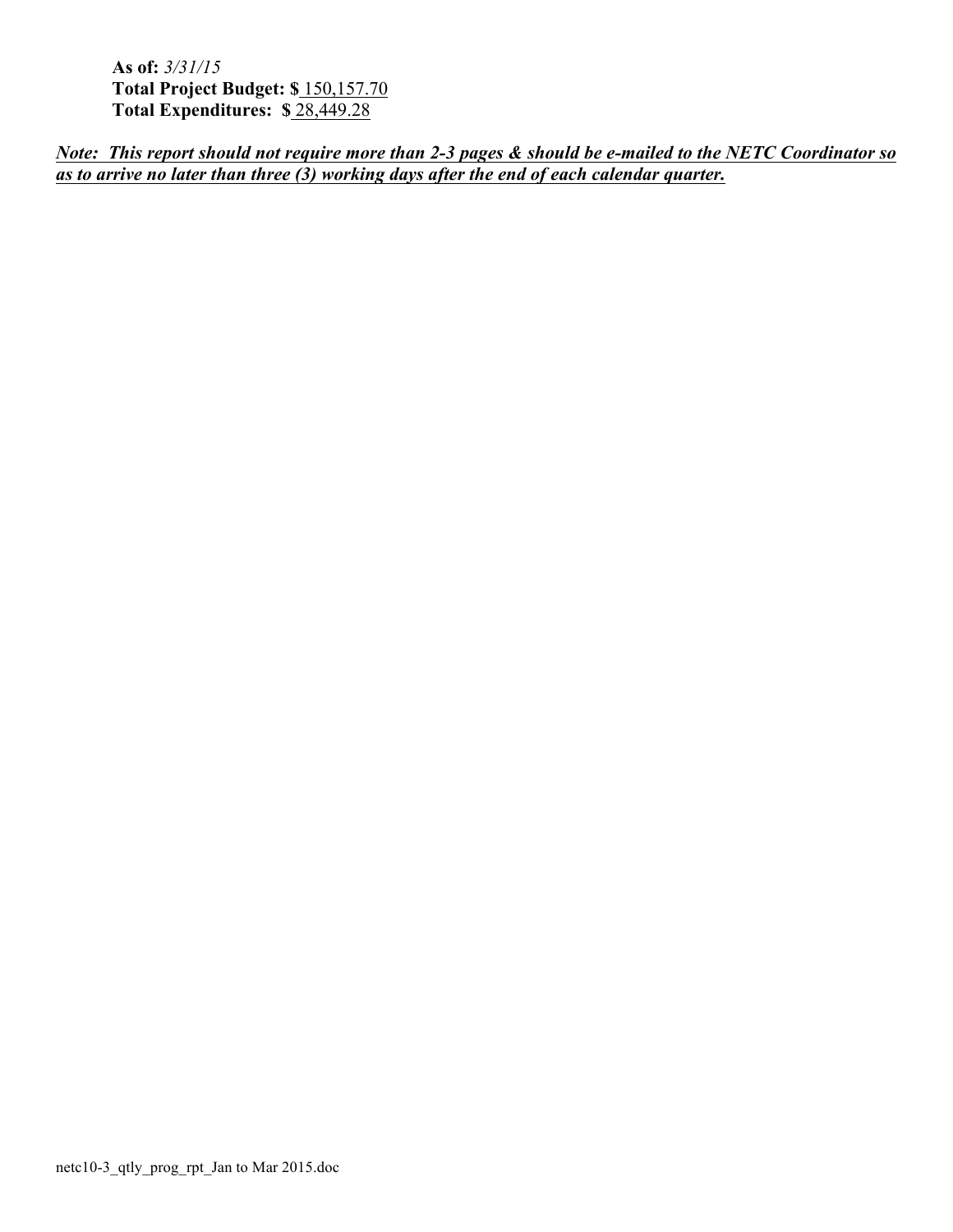**As of:** *3/31/15* **Total Project Budget: \$** 150,157.70 **Total Expenditures: \$** 28,449.28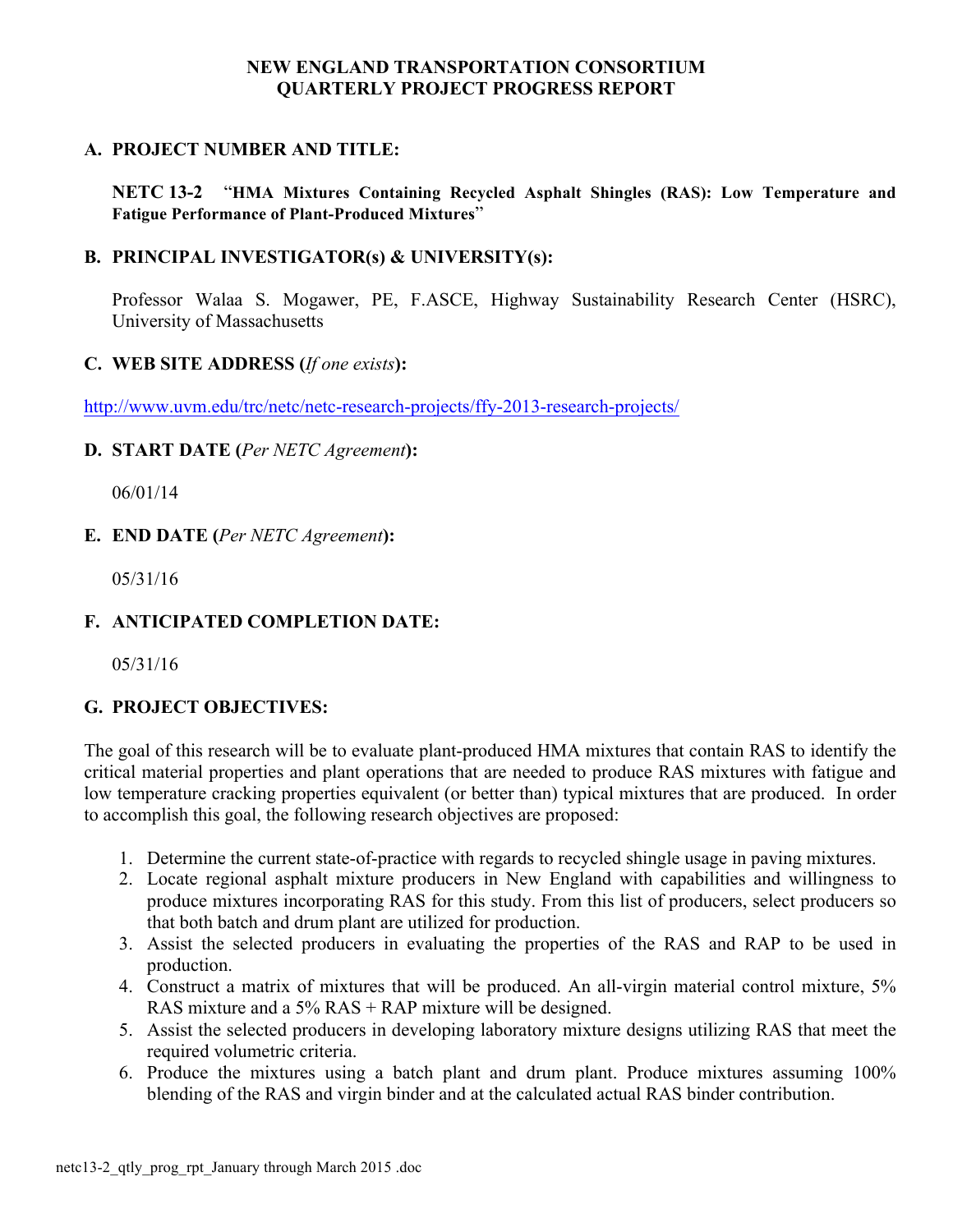# **A. PROJECT NUMBER AND TITLE:**

**NETC 13-2** "**HMA Mixtures Containing Recycled Asphalt Shingles (RAS): Low Temperature and Fatigue Performance of Plant-Produced Mixtures**"

# **B. PRINCIPAL INVESTIGATOR(s) & UNIVERSITY(s):**

Professor Walaa S. Mogawer, PE, F.ASCE, Highway Sustainability Research Center (HSRC), University of Massachusetts

# **C. WEB SITE ADDRESS (***If one exists***):**

http://www.uvm.edu/trc/netc/netc-research-projects/ffy-2013-research-projects/

# **D. START DATE (***Per NETC Agreement***):**

06/01/14

# **E. END DATE (***Per NETC Agreement***):**

05/31/16

# **F. ANTICIPATED COMPLETION DATE:**

05/31/16

# **G. PROJECT OBJECTIVES:**

The goal of this research will be to evaluate plant-produced HMA mixtures that contain RAS to identify the critical material properties and plant operations that are needed to produce RAS mixtures with fatigue and low temperature cracking properties equivalent (or better than) typical mixtures that are produced. In order to accomplish this goal, the following research objectives are proposed:

- 1. Determine the current state-of-practice with regards to recycled shingle usage in paving mixtures.
- 2. Locate regional asphalt mixture producers in New England with capabilities and willingness to produce mixtures incorporating RAS for this study. From this list of producers, select producers so that both batch and drum plant are utilized for production.
- 3. Assist the selected producers in evaluating the properties of the RAS and RAP to be used in production.
- 4. Construct a matrix of mixtures that will be produced. An all-virgin material control mixture, 5% RAS mixture and a 5% RAS + RAP mixture will be designed.
- 5. Assist the selected producers in developing laboratory mixture designs utilizing RAS that meet the required volumetric criteria.
- 6. Produce the mixtures using a batch plant and drum plant. Produce mixtures assuming 100% blending of the RAS and virgin binder and at the calculated actual RAS binder contribution.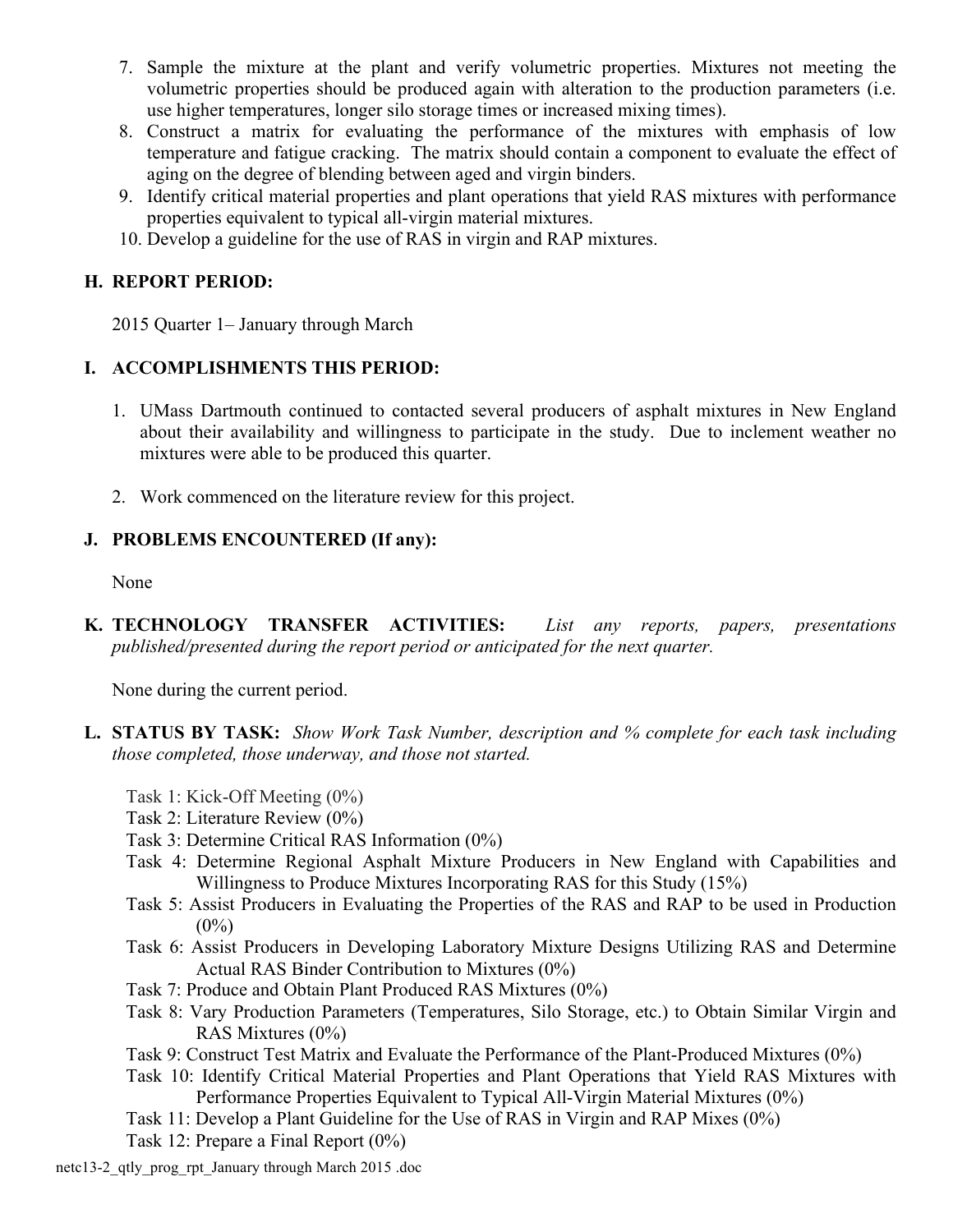- 7. Sample the mixture at the plant and verify volumetric properties. Mixtures not meeting the volumetric properties should be produced again with alteration to the production parameters (i.e. use higher temperatures, longer silo storage times or increased mixing times).
- 8. Construct a matrix for evaluating the performance of the mixtures with emphasis of low temperature and fatigue cracking. The matrix should contain a component to evaluate the effect of aging on the degree of blending between aged and virgin binders.
- 9. Identify critical material properties and plant operations that yield RAS mixtures with performance properties equivalent to typical all-virgin material mixtures.
- 10. Develop a guideline for the use of RAS in virgin and RAP mixtures.

# **H. REPORT PERIOD:**

2015 Quarter 1– January through March

# **I. ACCOMPLISHMENTS THIS PERIOD:**

- 1. UMass Dartmouth continued to contacted several producers of asphalt mixtures in New England about their availability and willingness to participate in the study. Due to inclement weather no mixtures were able to be produced this quarter.
- 2. Work commenced on the literature review for this project.

# **J. PROBLEMS ENCOUNTERED (If any):**

None

**K. TECHNOLOGY TRANSFER ACTIVITIES:** *List any reports, papers, presentations published/presented during the report period or anticipated for the next quarter.*

None during the current period.

- **L. STATUS BY TASK:** *Show Work Task Number, description and % complete for each task including those completed, those underway, and those not started.*
	- Task 1: Kick-Off Meeting (0%)
	- Task 2: Literature Review (0%)
	- Task 3: Determine Critical RAS Information (0%)
	- Task 4: Determine Regional Asphalt Mixture Producers in New England with Capabilities and Willingness to Produce Mixtures Incorporating RAS for this Study (15%)
	- Task 5: Assist Producers in Evaluating the Properties of the RAS and RAP to be used in Production  $(0\%)$
	- Task 6: Assist Producers in Developing Laboratory Mixture Designs Utilizing RAS and Determine Actual RAS Binder Contribution to Mixtures (0%)
	- Task 7: Produce and Obtain Plant Produced RAS Mixtures (0%)
	- Task 8: Vary Production Parameters (Temperatures, Silo Storage, etc.) to Obtain Similar Virgin and RAS Mixtures (0%)
	- Task 9: Construct Test Matrix and Evaluate the Performance of the Plant-Produced Mixtures (0%)
	- Task 10: Identify Critical Material Properties and Plant Operations that Yield RAS Mixtures with Performance Properties Equivalent to Typical All-Virgin Material Mixtures (0%)
	- Task 11: Develop a Plant Guideline for the Use of RAS in Virgin and RAP Mixes (0%)

Task 12: Prepare a Final Report (0%)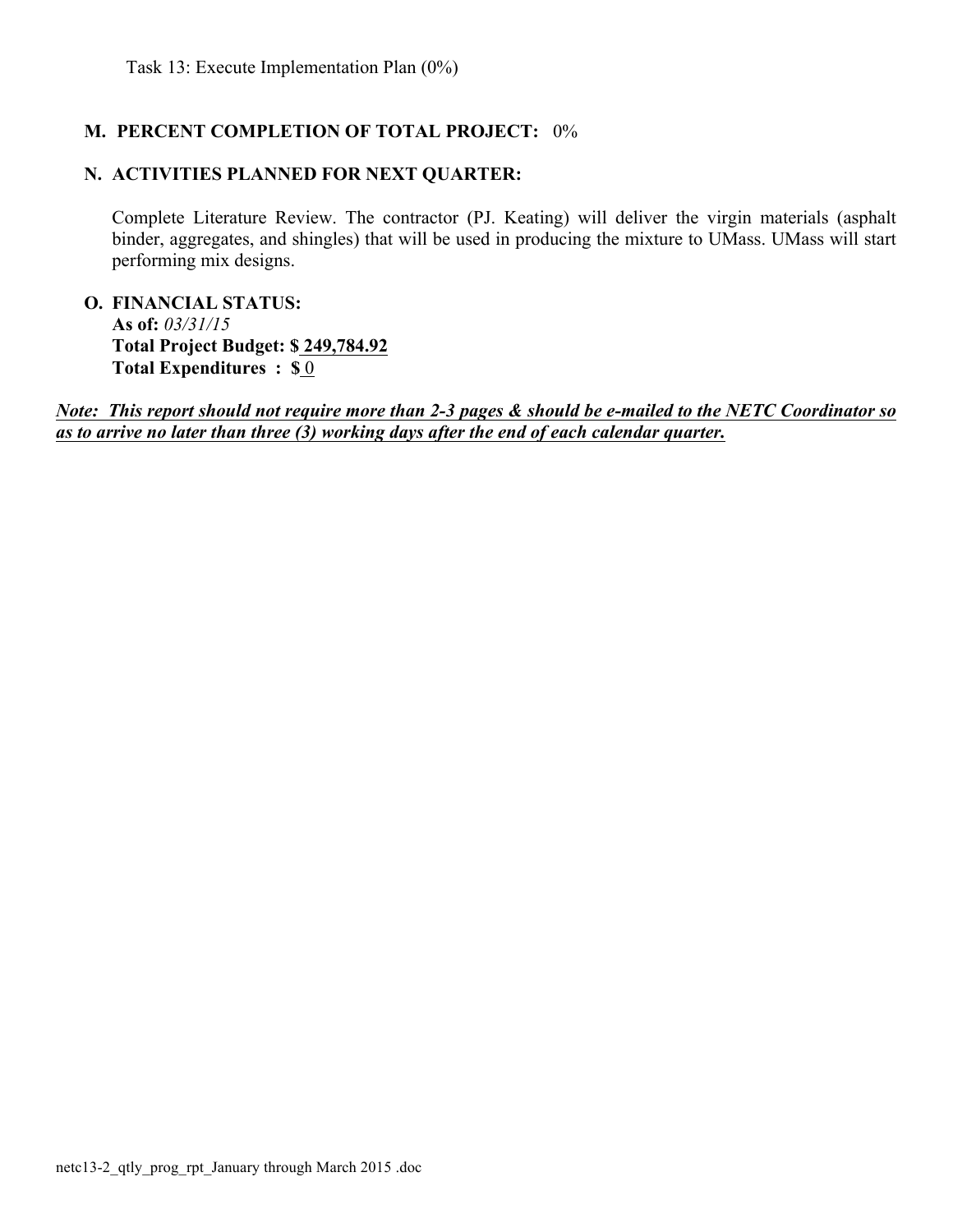# **M. PERCENT COMPLETION OF TOTAL PROJECT:** 0%

# **N. ACTIVITIES PLANNED FOR NEXT QUARTER:**

Complete Literature Review. The contractor (PJ. Keating) will deliver the virgin materials (asphalt binder, aggregates, and shingles) that will be used in producing the mixture to UMass. UMass will start performing mix designs.

**O. FINANCIAL STATUS: As of:** *03/31/15* **Total Project Budget: \$ 249,784.92 Total Expenditures : \$** 0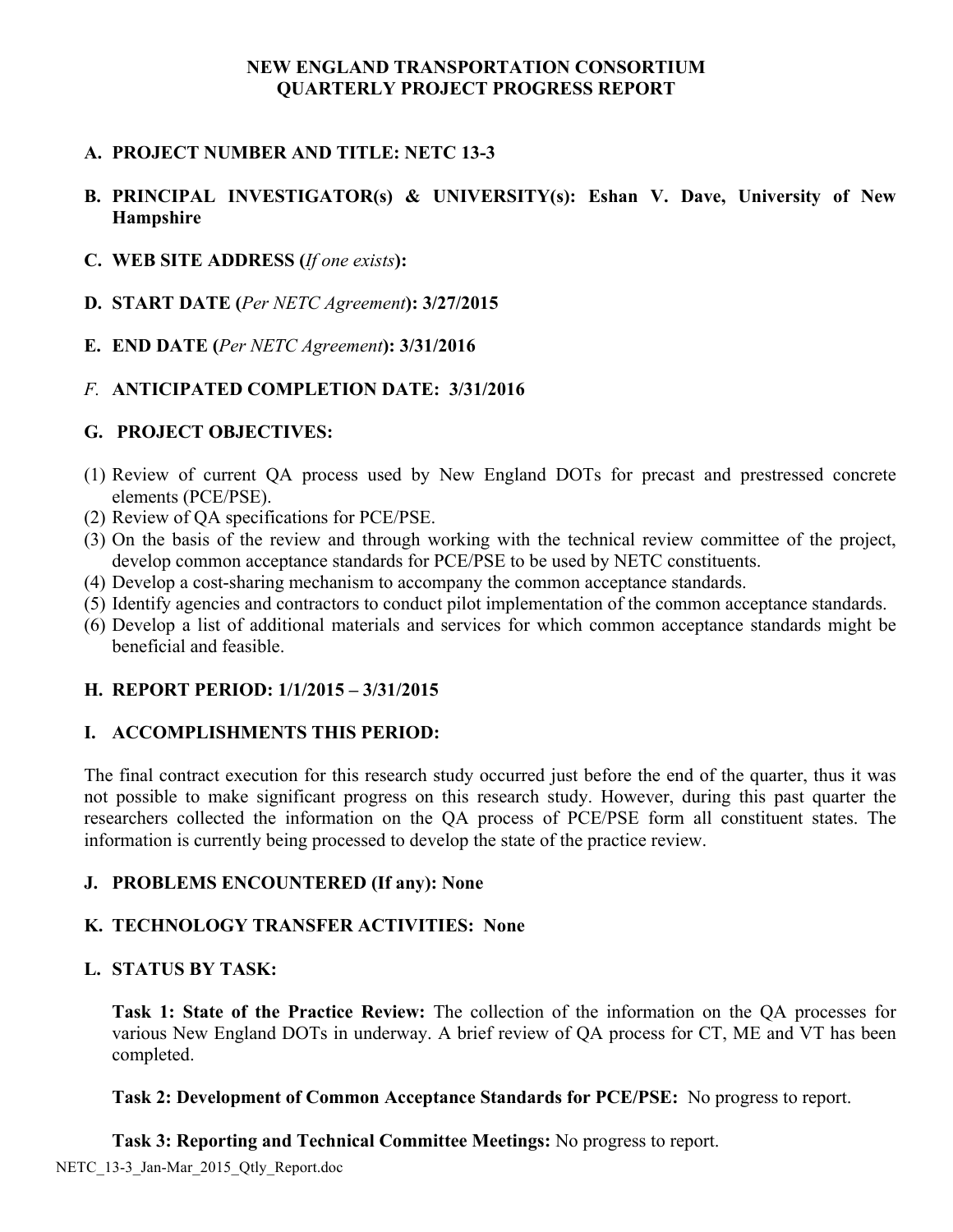# **A. PROJECT NUMBER AND TITLE: NETC 13-3**

# **B. PRINCIPAL INVESTIGATOR(s) & UNIVERSITY(s): Eshan V. Dave, University of New Hampshire**

- **C. WEB SITE ADDRESS (***If one exists***):**
- **D. START DATE (***Per NETC Agreement***): 3/27/2015**
- **E. END DATE (***Per NETC Agreement***): 3/31/2016**

# *F.* **ANTICIPATED COMPLETION DATE: 3/31/2016**

#### **G. PROJECT OBJECTIVES:**

- (1) Review of current QA process used by New England DOTs for precast and prestressed concrete elements (PCE/PSE).
- (2) Review of QA specifications for PCE/PSE.
- (3) On the basis of the review and through working with the technical review committee of the project, develop common acceptance standards for PCE/PSE to be used by NETC constituents.
- (4) Develop a cost-sharing mechanism to accompany the common acceptance standards.
- (5) Identify agencies and contractors to conduct pilot implementation of the common acceptance standards.
- (6) Develop a list of additional materials and services for which common acceptance standards might be beneficial and feasible.

# **H. REPORT PERIOD: 1/1/2015 – 3/31/2015**

# **I. ACCOMPLISHMENTS THIS PERIOD:**

The final contract execution for this research study occurred just before the end of the quarter, thus it was not possible to make significant progress on this research study. However, during this past quarter the researchers collected the information on the QA process of PCE/PSE form all constituent states. The information is currently being processed to develop the state of the practice review.

#### **J. PROBLEMS ENCOUNTERED (If any): None**

#### **K. TECHNOLOGY TRANSFER ACTIVITIES:****None**

#### **L. STATUS BY TASK:**

**Task 1: State of the Practice Review:** The collection of the information on the QA processes for various New England DOTs in underway. A brief review of QA process for CT, ME and VT has been completed.

#### **Task 2: Development of Common Acceptance Standards for PCE/PSE:** No progress to report.

**Task 3: Reporting and Technical Committee Meetings:** No progress to report.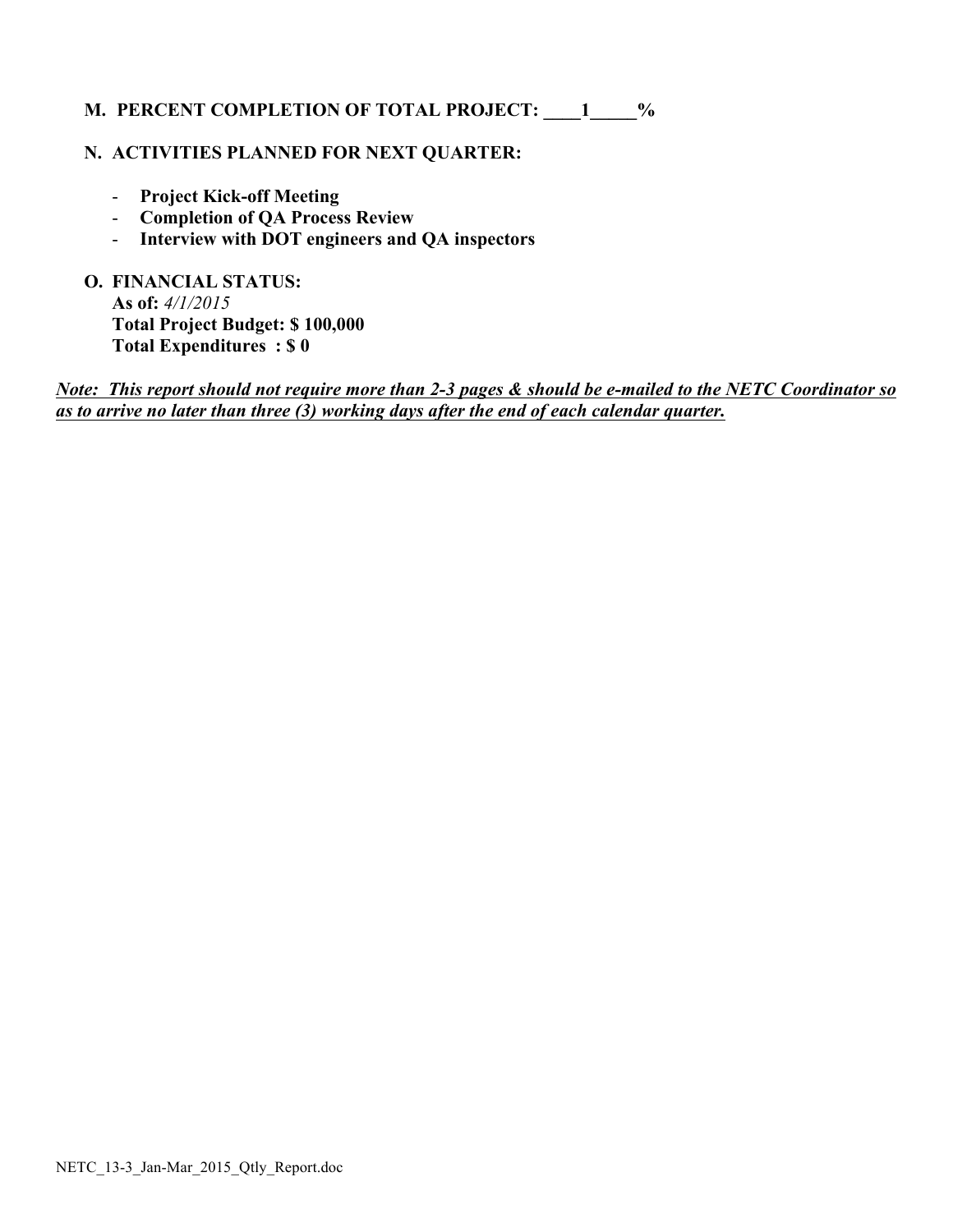# **M. PERCENT COMPLETION OF TOTAL PROJECT: \_\_\_\_1\_\_\_\_\_%**

#### **N. ACTIVITIES PLANNED FOR NEXT QUARTER:**

- **Project Kick-off Meeting**
- **Completion of QA Process Review**
- **Interview with DOT engineers and QA inspectors**

**O. FINANCIAL STATUS: As of:** *4/1/2015* **Total Project Budget: \$ 100,000 Total Expenditures : \$ 0**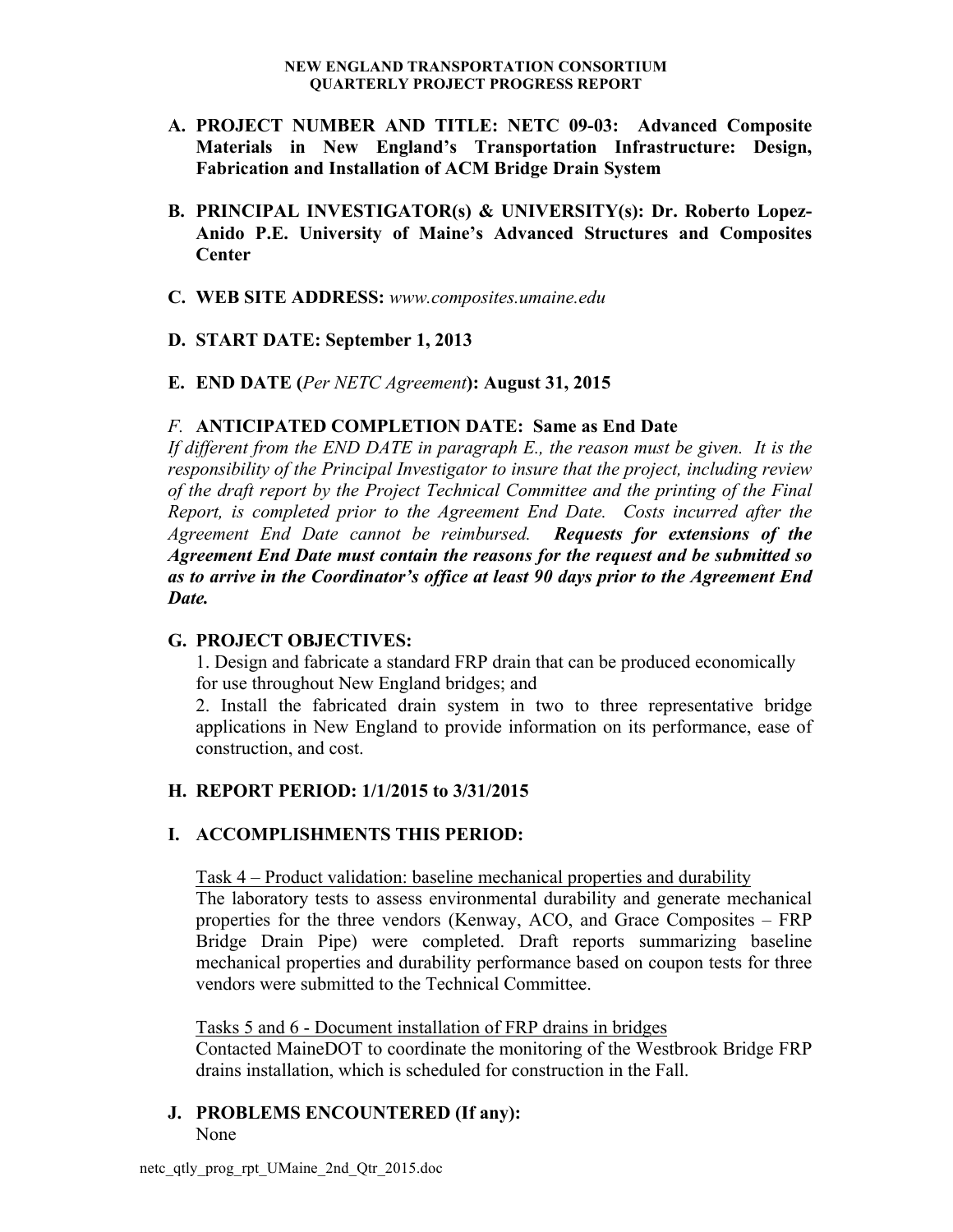- **A. PROJECT NUMBER AND TITLE: NETC 09-03: Advanced Composite Materials in New England's Transportation Infrastructure: Design, Fabrication and Installation of ACM Bridge Drain System**
- **B. PRINCIPAL INVESTIGATOR(s) & UNIVERSITY(s): Dr. Roberto Lopez-Anido P.E. University of Maine's Advanced Structures and Composites Center**
- **C. WEB SITE ADDRESS:** *www.composites.umaine.edu*
- **D. START DATE: September 1, 2013**
- **E. END DATE (***Per NETC Agreement***): August 31, 2015**

#### *F.* **ANTICIPATED COMPLETION DATE: Same as End Date**

*If different from the END DATE in paragraph E., the reason must be given. It is the responsibility of the Principal Investigator to insure that the project, including review of the draft report by the Project Technical Committee and the printing of the Final Report, is completed prior to the Agreement End Date. Costs incurred after the Agreement End Date cannot be reimbursed. Requests for extensions of the Agreement End Date must contain the reasons for the request and be submitted so as to arrive in the Coordinator's office at least 90 days prior to the Agreement End Date.*

#### **G. PROJECT OBJECTIVES:**

1. Design and fabricate a standard FRP drain that can be produced economically for use throughout New England bridges; and

2. Install the fabricated drain system in two to three representative bridge applications in New England to provide information on its performance, ease of construction, and cost.

#### **H. REPORT PERIOD: 1/1/2015 to 3/31/2015**

#### **I. ACCOMPLISHMENTS THIS PERIOD:**

Task 4 – Product validation: baseline mechanical properties and durability

The laboratory tests to assess environmental durability and generate mechanical properties for the three vendors (Kenway, ACO, and Grace Composites – FRP Bridge Drain Pipe) were completed. Draft reports summarizing baseline mechanical properties and durability performance based on coupon tests for three vendors were submitted to the Technical Committee.

#### Tasks 5 and 6 - Document installation of FRP drains in bridges

Contacted MaineDOT to coordinate the monitoring of the Westbrook Bridge FRP drains installation, which is scheduled for construction in the Fall.

# **J. PROBLEMS ENCOUNTERED (If any):**

None